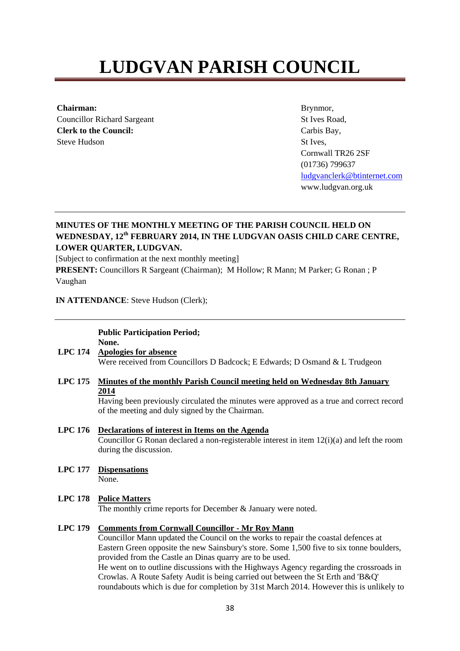# **LUDGVAN PARISH COUNCIL**

**Chairman:**  Councillor Richard Sargeant **Clerk to the Council:**  Steve Hudson

Brynmor, St Ives Road, Carbis Bay, St Ives, Cornwall TR26 2SF (01736) 799637 ludgvanclerk@btinternet.com www.ludgvan.org.uk

# **MINUTES OF THE MONTHLY MEETING OF THE PARISH COUNCIL HELD ON WEDNESDAY, 12th FEBRUARY 2014, IN THE LUDGVAN OASIS CHILD CARE CENTRE, LOWER QUARTER, LUDGVAN.**

[Subject to confirmation at the next monthly meeting]

**PRESENT:** Councillors R Sargeant (Chairman); M Hollow; R Mann; M Parker; G Ronan ; P Vaughan

**IN ATTENDANCE**: Steve Hudson (Clerk);

# **Public Participation Period; None.**

- **LPC 174 Apologies for absence** Were received from Councillors D Badcock; E Edwards; D Osmand & L Trudgeon
- **LPC 175 Minutes of the monthly Parish Council meeting held on Wednesday 8th January 2014**

Having been previously circulated the minutes were approved as a true and correct record of the meeting and duly signed by the Chairman.

- **LPC 176 Declarations of interest in Items on the Agenda** Councillor G Ronan declared a non-registerable interest in item  $12(i)(a)$  and left the room during the discussion.
- **LPC 177 Dispensations** None.

#### **LPC 178 Police Matters**

The monthly crime reports for December & January were noted.

#### **LPC 179 Comments from Cornwall Councillor - Mr Roy Mann**

Councillor Mann updated the Council on the works to repair the coastal defences at Eastern Green opposite the new Sainsbury's store. Some 1,500 five to six tonne boulders, provided from the Castle an Dinas quarry are to be used.

He went on to outline discussions with the Highways Agency regarding the crossroads in Crowlas. A Route Safety Audit is being carried out between the St Erth and 'B&Q' roundabouts which is due for completion by 31st March 2014. However this is unlikely to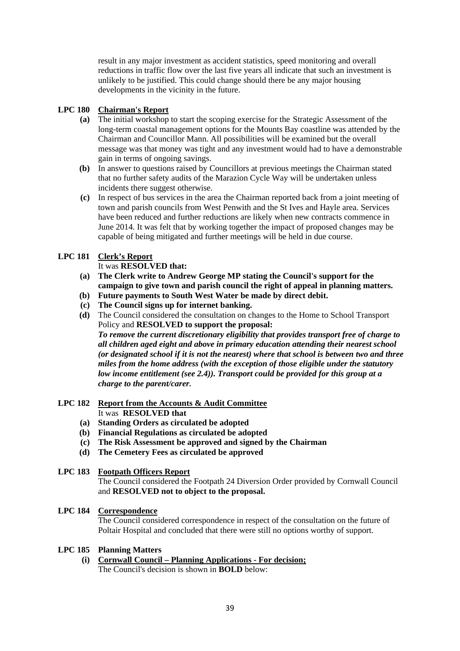result in any major investment as accident statistics, speed monitoring and overall reductions in traffic flow over the last five years all indicate that such an investment is unlikely to be justified. This could change should there be any major housing developments in the vicinity in the future.

# **LPC 180 Chairman's Report**

- **(a)** The initial workshop to start the scoping exercise for the Strategic Assessment of the long-term coastal management options for the Mounts Bay coastline was attended by the Chairman and Councillor Mann. All possibilities will be examined but the overall message was that money was tight and any investment would had to have a demonstrable gain in terms of ongoing savings.
- **(b)** In answer to questions raised by Councillors at previous meetings the Chairman stated that no further safety audits of the Marazion Cycle Way will be undertaken unless incidents there suggest otherwise.
- **(c)** In respect of bus services in the area the Chairman reported back from a joint meeting of town and parish councils from West Penwith and the St Ives and Hayle area. Services have been reduced and further reductions are likely when new contracts commence in June 2014. It was felt that by working together the impact of proposed changes may be capable of being mitigated and further meetings will be held in due course.

# **LPC 181 Clerk's Report**

It was **RESOLVED that:**

- **(a) The Clerk write to Andrew George MP stating the Council's support for the campaign to give town and parish council the right of appeal in planning matters.**
- **(b) Future payments to South West Water be made by direct debit.**
- **(c) The Council signs up for internet banking.**
- **(d)** The Council considered the consultation on changes to the Home to School Transport Policy and **RESOLVED to support the proposal:**  *To remove the current discretionary eligibility that provides transport free of charge to all children aged eight and above in primary education attending their nearest school (or designated school if it is not the nearest) where that school is between two and three miles from the home address (with the exception of those eligible under the statutory low income entitlement (see 2.4)). Transport could be provided for this group at a charge to the parent/carer.*

#### **LPC 182 Report from the Accounts & Audit Committee** It was **RESOLVED that**

- **(a) Standing Orders as circulated be adopted**
- **(b) Financial Regulations as circulated be adopted**
- **(c) The Risk Assessment be approved and signed by the Chairman**
- **(d) The Cemetery Fees as circulated be approved**

# **LPC 183 Footpath Officers Report**

The Council considered the Footpath 24 Diversion Order provided by Cornwall Council and **RESOLVED not to object to the proposal.**

# **LPC 184 Correspondence**

The Council considered correspondence in respect of the consultation on the future of Poltair Hospital and concluded that there were still no options worthy of support.

#### **LPC 185 Planning Matters**

**(i) Cornwall Council – Planning Applications - For decision;** The Council's decision is shown in **BOLD** below: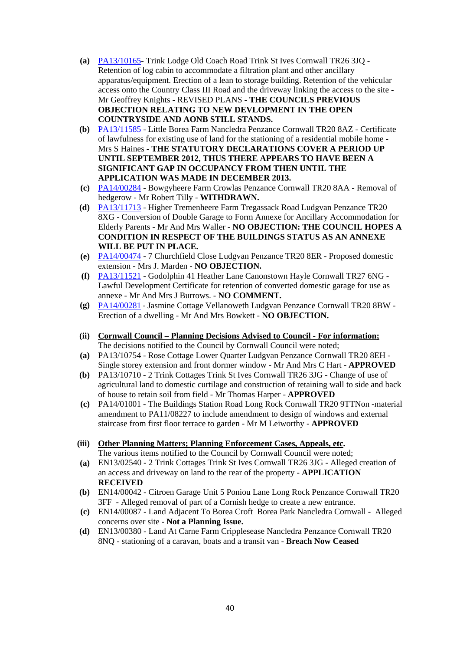- **(a)** PA13/10165- Trink Lodge Old Coach Road Trink St Ives Cornwall TR26 3JQ Retention of log cabin to accommodate a filtration plant and other ancillary apparatus/equipment. Erection of a lean to storage building. Retention of the vehicular access onto the Country Class III Road and the driveway linking the access to the site - Mr Geoffrey Knights - REVISED PLANS - **THE COUNCILS PREVIOUS OBJECTION RELATING TO NEW DEVLOPMENT IN THE OPEN COUNTRYSIDE AND AONB STILL STANDS.**
- **(b)** PA13/11585 Little Borea Farm Nancledra Penzance Cornwall TR20 8AZ Certificate of lawfulness for existing use of land for the stationing of a residential mobile home - Mrs S Haines - **THE STATUTORY DECLARATIONS COVER A PERIOD UP UNTIL SEPTEMBER 2012, THUS THERE APPEARS TO HAVE BEEN A SIGNIFICANT GAP IN OCCUPANCY FROM THEN UNTIL THE APPLICATION WAS MADE IN DECEMBER 2013.**
- **(c)** PA14/00284 Bowgyheere Farm Crowlas Penzance Cornwall TR20 8AA Removal of hedgerow - Mr Robert Tilly - **WITHDRAWN.**
- **(d)** PA13/11713 Higher Tremenheere Farm Tregassack Road Ludgvan Penzance TR20 8XG - Conversion of Double Garage to Form Annexe for Ancillary Accommodation for Elderly Parents - Mr And Mrs Waller - **NO OBJECTION: THE COUNCIL HOPES A CONDITION IN RESPECT OF THE BUILDINGS STATUS AS AN ANNEXE WILL BE PUT IN PLACE.**
- **(e)** PA14/00474 7 Churchfield Close Ludgvan Penzance TR20 8ER Proposed domestic extension - Mrs J. Marden - **NO OBJECTION.**
- **(f)** PA13/11521 Godolphin 41 Heather Lane Canonstown Hayle Cornwall TR27 6NG Lawful Development Certificate for retention of converted domestic garage for use as annexe - Mr And Mrs J Burrows. - **NO COMMENT.**
- **(g)** PA14/00281 ‐ Jasmine Cottage Vellanoweth Ludgvan Penzance Cornwall TR20 8BW Erection of a dwelling - Mr And Mrs Bowkett - **NO OBJECTION.**
- **(ii) Cornwall Council Planning Decisions Advised to Council For information;** The decisions notified to the Council by Cornwall Council were noted;
- **(a)** PA13/10754 Rose Cottage Lower Quarter Ludgvan Penzance Cornwall TR20 8EH Single storey extension and front dormer window - Mr And Mrs C Hart - **APPROVED**
- **(b)** PA13/10710 2 Trink Cottages Trink St Ives Cornwall TR26 3JG Change of use of agricultural land to domestic curtilage and construction of retaining wall to side and back of house to retain soil from field - Mr Thomas Harper - **APPROVED**
- **(c)** PA14/01001 The Buildings Station Road Long Rock Cornwall TR20 9TTNon -material amendment to PA11/08227 to include amendment to design of windows and external staircase from first floor terrace to garden - Mr M Leiworthy - **APPROVED**
- **(iii) Other Planning Matters; Planning Enforcement Cases, Appeals, etc.**  The various items notified to the Council by Cornwall Council were noted;
- **(a)** EN13/02540 2 Trink Cottages Trink St Ives Cornwall TR26 3JG Alleged creation of an access and driveway on land to the rear of the property - **APPLICATION RECEIVED**
- **(b)** EN14/00042 Citroen Garage Unit 5 Poniou Lane Long Rock Penzance Cornwall TR20 3FF - Alleged removal of part of a Cornish hedge to create a new entrance.
- **(c)** EN14/00087 Land Adjacent To Borea Croft Borea Park Nancledra Cornwall Alleged concerns over site - **Not a Planning Issue.**
- **(d)** EN13/00380 Land At Carne Farm Cripplesease Nancledra Penzance Cornwall TR20 8NQ - stationing of a caravan, boats and a transit van - **Breach Now Ceased**